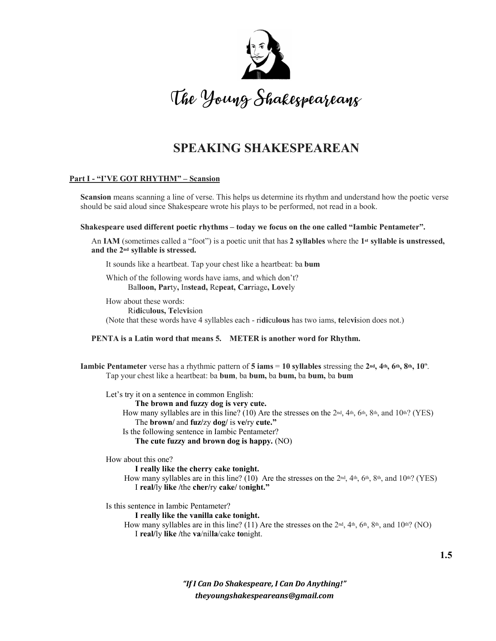

# **SPEAKING SHAKESPEAREAN**

### **Part I - "I'VE GOT RHYTHM" – Scansion**

**Scansion** means scanning a line of verse. This helps us determine its rhythm and understand how the poetic verse should be said aloud since Shakespeare wrote his plays to be performed, not read in a book.

#### **Shakespeare used different poetic rhythms – today we focus on the one called "Iambic Pentameter".**

An **IAM** (sometimes called a "foot") is a poetic unit that has **2 syllables** where the **1st syllable is unstressed, and the 2nd syllable is stressed.** 

It sounds like a heartbeat. Tap your chest like a heartbeat: ba **bum** 

Which of the following words have iams, and which don't? Bal**loon, Par**ty**,** In**stead,** Re**peat, Car**riage**, Love**ly

How about these words: Ri**di**cu**lous, Te**le**vi**sion

(Note that these words have 4 syllables each - ri**di**cu**lous** has two iams, **te**le**vi**sion does not.)

**PENTA is a Latin word that means 5. METER is another word for Rhythm.**

**Iambic Pentameter** verse has a rhythmic pattern of **5 iams** = 10 syllables stressing the  $2nd$ ,  $4th$ ,  $6th$ ,  $8th$ ,  $10th$ . Tap your chest like a heartbeat: ba **bum**, ba **bum,** ba **bum,** ba **bum,** ba **bum** 

Let's try it on a sentence in common English:

**The brown and fuzzy dog is very cute.** 

How many syllables are in this line? (10) Are the stresses on the  $2<sup>nd</sup>$ ,  $4<sup>th</sup>$ ,  $6<sup>th</sup>$ ,  $8<sup>th</sup>$ , and  $10<sup>th</sup>$ ? (YES) The **brown/** and **fuz/**zy **dog/** is **ve/**ry **cute."**  Is the following sentence in Iambic Pentameter?

**The cute fuzzy and brown dog is happy.** (NO)

How about this one?

**I really like the cherry cake tonight.** 

How many syllables are in this line? (10) Are the stresses on the  $2nd$ ,  $4th$ ,  $6th$ ,  $8th$ , and  $10th$ ? (YES) I **real/**ly **like /**the **cher/**ry **cake/** to**night."** 

Is this sentence in Iambic Pentameter?

**I really like the vanilla cake tonight.** 

How many syllables are in this line? (11) Are the stresses on the  $2<sup>nd</sup>$ ,  $4<sup>th</sup>$ ,  $6<sup>th</sup>$ ,  $8<sup>th</sup>$ , and  $10<sup>th</sup>$ ? (NO) I **real/**ly **like /**the **va**/nil**la**/cake **to**night.

> *"If I Can Do Shakespeare, I Can Do Anything!" theyoungshakespeareans@gmail.com*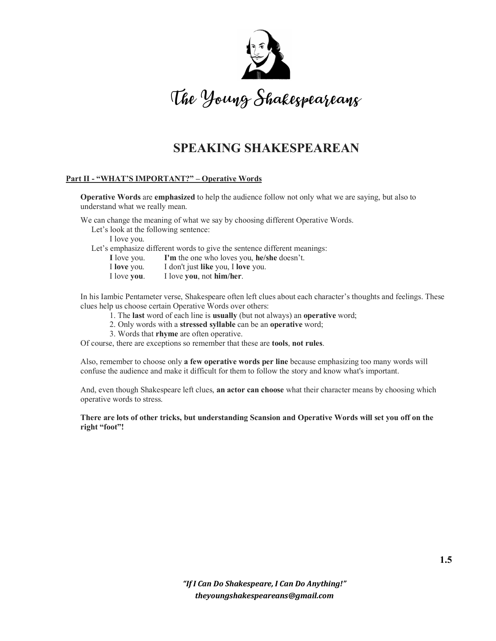

## **SPEAKING SHAKESPEAREAN**

### **Part II - "WHAT'S IMPORTANT?" – Operative Words**

**Operative Words** are **emphasized** to help the audience follow not only what we are saying, but also to understand what we really mean.

We can change the meaning of what we say by choosing different Operative Words.

Let's look at the following sentence:

I love you.

Let's emphasize different words to give the sentence different meanings:

**I** love you. **I'm** the one who loves you, **he/she** doesn't.

I **love** you. I don't just **like** you, I **love** you.

I love **you**. I love **you**, not **him/her**.

In his Iambic Pentameter verse, Shakespeare often left clues about each character's thoughts and feelings. These clues help us choose certain Operative Words over others:

1. The **last** word of each line is **usually** (but not always) an **operative** word;

2. Only words with a **stressed syllable** can be an **operative** word;

3. Words that **rhyme** are often operative.

Of course, there are exceptions so remember that these are **tools**, **not rules**.

Also, remember to choose only **a few operative words per line** because emphasizing too many words will confuse the audience and make it difficult for them to follow the story and know what's important.

And, even though Shakespeare left clues, **an actor can choose** what their character means by choosing which operative words to stress.

**There are lots of other tricks, but understanding Scansion and Operative Words will set you off on the right "foot"!**